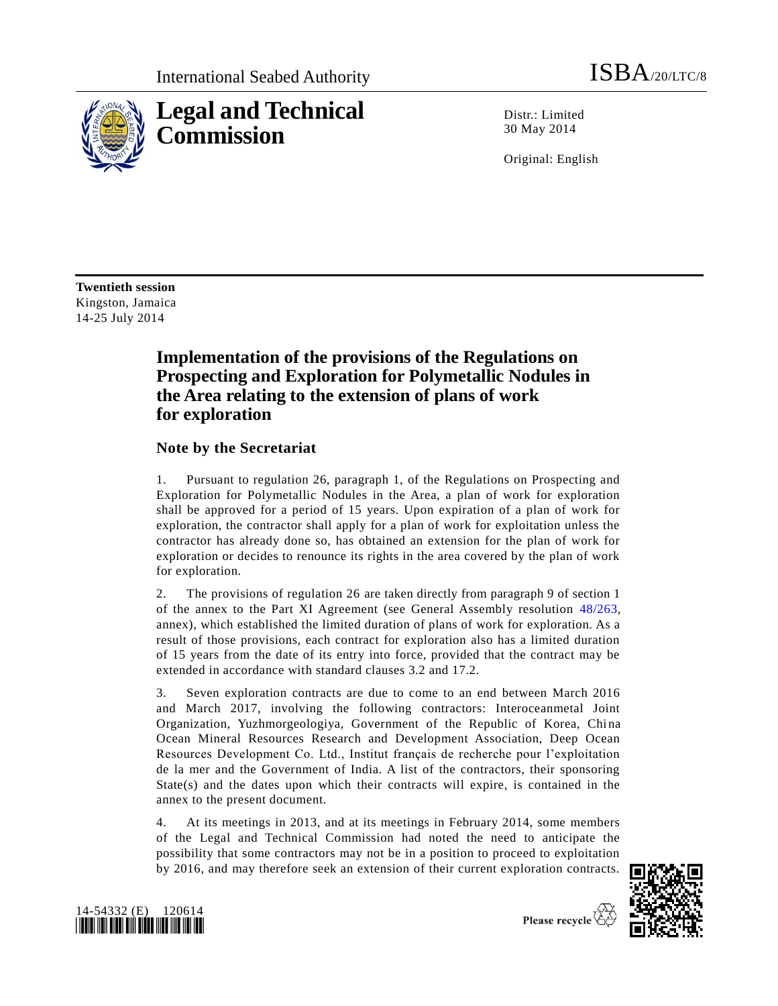

Distr.: Limited 30 May 2014

Original: English

**Twentieth session** Kingston, Jamaica 14-25 July 2014

## **Implementation of the provisions of the Regulations on Prospecting and Exploration for Polymetallic Nodules in the Area relating to the extension of plans of work for exploration**

### **Note by the Secretariat**

1. Pursuant to regulation 26, paragraph 1, of the Regulations on Prospecting and Exploration for Polymetallic Nodules in the Area, a plan of work for exploration shall be approved for a period of 15 years. Upon expiration of a plan of work for exploration, the contractor shall apply for a plan of work for exploitation unless the contractor has already done so, has obtained an extension for the plan of work for exploration or decides to renounce its rights in the area covered by the plan of work for exploration.

2. The provisions of regulation 26 are taken directly from paragraph 9 of section 1 of the annex to the Part XI Agreement (see General Assembly resolution [48/263,](http://undocs.org/A/RES/48/263) annex), which established the limited duration of plans of work for exploration. As a result of those provisions, each contract for exploration also has a limited duration of 15 years from the date of its entry into force, provided that the contract may be extended in accordance with standard clauses 3.2 and 17.2.

3. Seven exploration contracts are due to come to an end between March 2016 and March 2017, involving the following contractors: Interoceanmetal Joint Organization, Yuzhmorgeologiya, Government of the Republic of Korea, China Ocean Mineral Resources Research and Development Association, Deep Ocean Resources Development Co. Ltd., Institut français de recherche pour l'exploitation de la mer and the Government of India. A list of the contractors, their sponsoring State(s) and the dates upon which their contracts will expire, is contained in the annex to the present document.

4. At its meetings in 2013, and at its meetings in February 2014, some members of the Legal and Technical Commission had noted the need to anticipate the possibility that some contractors may not be in a position to proceed to exploitation by 2016, and may therefore seek an extension of their current exploration contracts.



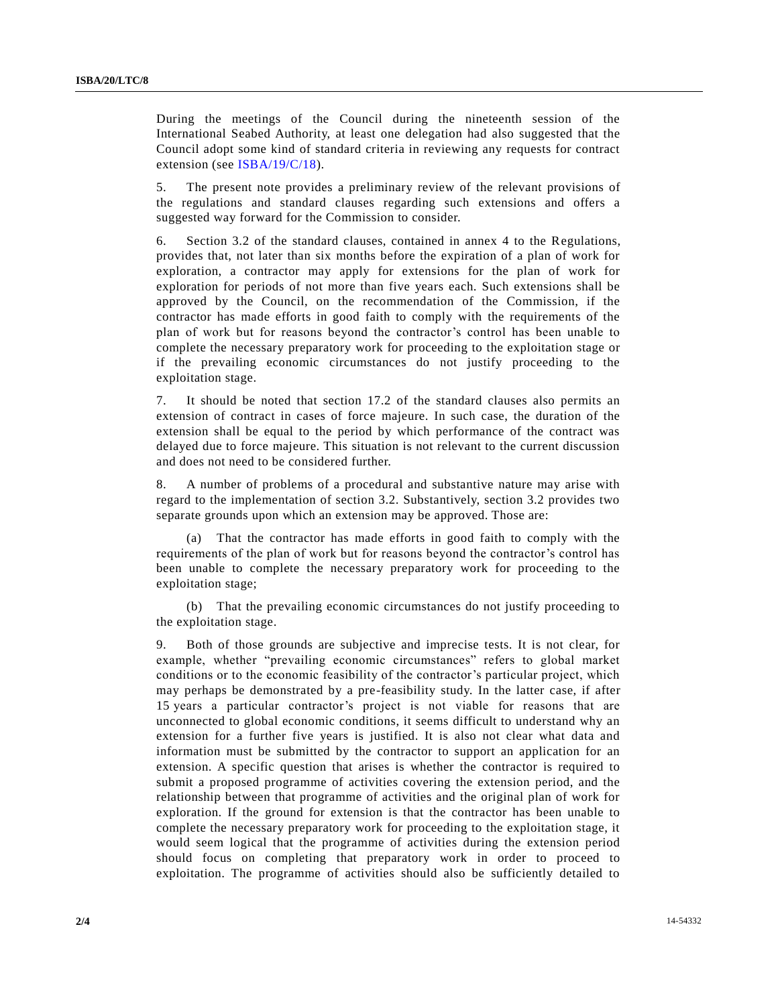During the meetings of the Council during the nineteenth session of the International Seabed Authority, at least one delegation had also suggested that the Council adopt some kind of standard criteria in reviewing any requests for contract extension (see [ISBA/19/C/18\)](http://undocs.org/ISBA/19/C/18).

5. The present note provides a preliminary review of the relevant provisions of the regulations and standard clauses regarding such extensions and offers a suggested way forward for the Commission to consider.

6. Section 3.2 of the standard clauses, contained in annex 4 to the Regulations, provides that, not later than six months before the expiration of a plan of work for exploration, a contractor may apply for extensions for the plan of work for exploration for periods of not more than five years each. Such extensions shall be approved by the Council, on the recommendation of the Commission, if the contractor has made efforts in good faith to comply with the requirements of the plan of work but for reasons beyond the contractor's control has been unable to complete the necessary preparatory work for proceeding to the exploitation stage or if the prevailing economic circumstances do not justify proceeding to the exploitation stage.

7. It should be noted that section 17.2 of the standard clauses also permits an extension of contract in cases of force majeure. In such case, the duration of the extension shall be equal to the period by which performance of the contract was delayed due to force majeure. This situation is not relevant to the current discussion and does not need to be considered further.

8. A number of problems of a procedural and substantive nature may arise with regard to the implementation of section 3.2. Substantively, section 3.2 provides two separate grounds upon which an extension may be approved. Those are:

(a) That the contractor has made efforts in good faith to comply with the requirements of the plan of work but for reasons beyond the contractor's control has been unable to complete the necessary preparatory work for proceeding to the exploitation stage;

(b) That the prevailing economic circumstances do not justify proceeding to the exploitation stage.

9. Both of those grounds are subjective and imprecise tests. It is not clear, for example, whether "prevailing economic circumstances" refers to global market conditions or to the economic feasibility of the contractor's particular project, which may perhaps be demonstrated by a pre-feasibility study. In the latter case, if after 15 years a particular contractor's project is not viable for reasons that are unconnected to global economic conditions, it seems difficult to understand why an extension for a further five years is justified. It is also not clear what data and information must be submitted by the contractor to support an application for an extension. A specific question that arises is whether the contractor is required to submit a proposed programme of activities covering the extension period, and the relationship between that programme of activities and the original plan of work for exploration. If the ground for extension is that the contractor has been unable to complete the necessary preparatory work for proceeding to the exploitation stage, it would seem logical that the programme of activities during the extension period should focus on completing that preparatory work in order to proceed to exploitation. The programme of activities should also be sufficiently detailed to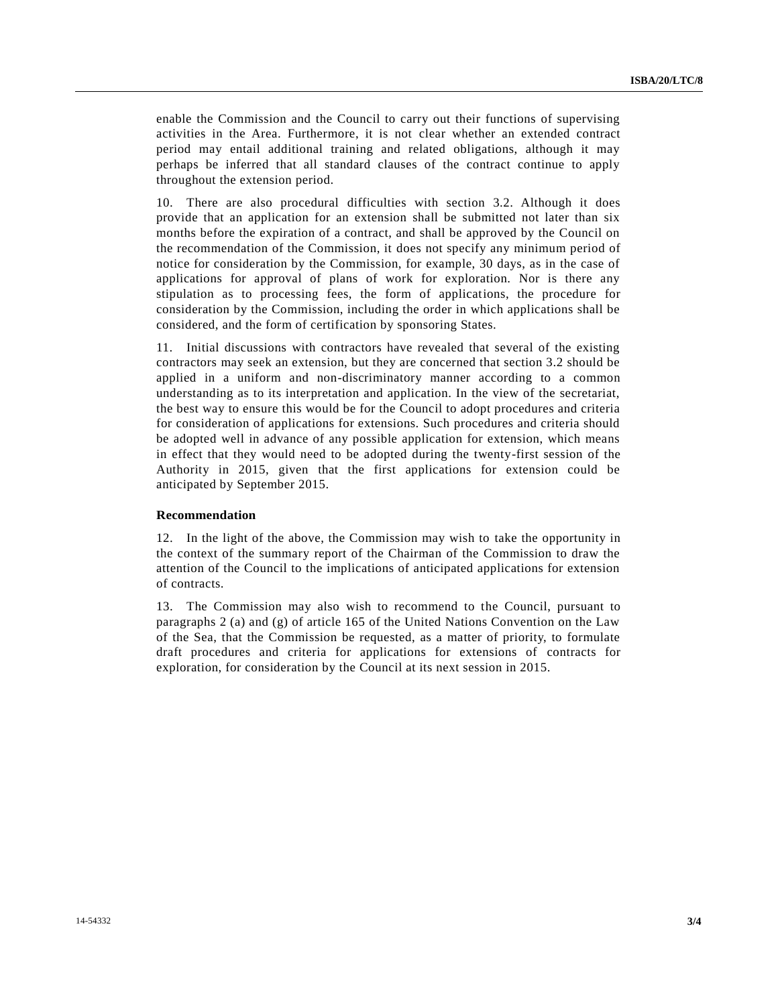enable the Commission and the Council to carry out their functions of supervising activities in the Area. Furthermore, it is not clear whether an extended contract period may entail additional training and related obligations, although it may perhaps be inferred that all standard clauses of the contract continue to apply throughout the extension period.

10. There are also procedural difficulties with section 3.2. Although it does provide that an application for an extension shall be submitted not later than six months before the expiration of a contract, and shall be approved by the Council on the recommendation of the Commission, it does not specify any minimum period of notice for consideration by the Commission, for example, 30 days, as in the case of applications for approval of plans of work for exploration. Nor is there any stipulation as to processing fees, the form of applications, the procedure for consideration by the Commission, including the order in which applications shall be considered, and the form of certification by sponsoring States.

11. Initial discussions with contractors have revealed that several of the existing contractors may seek an extension, but they are concerned that section 3.2 should be applied in a uniform and non-discriminatory manner according to a common understanding as to its interpretation and application. In the view of the secretariat, the best way to ensure this would be for the Council to adopt procedures and criteria for consideration of applications for extensions. Such procedures and criteria should be adopted well in advance of any possible application for extension, which means in effect that they would need to be adopted during the twenty-first session of the Authority in 2015, given that the first applications for extension could be anticipated by September 2015.

#### **Recommendation**

12. In the light of the above, the Commission may wish to take the opportunity in the context of the summary report of the Chairman of the Commission to draw the attention of the Council to the implications of anticipated applications for extension of contracts.

13. The Commission may also wish to recommend to the Council, pursuant to paragraphs 2 (a) and (g) of article 165 of the United Nations Convention on the Law of the Sea, that the Commission be requested, as a matter of priority, to formulate draft procedures and criteria for applications for extensions of contracts for exploration, for consideration by the Council at its next session in 2015.